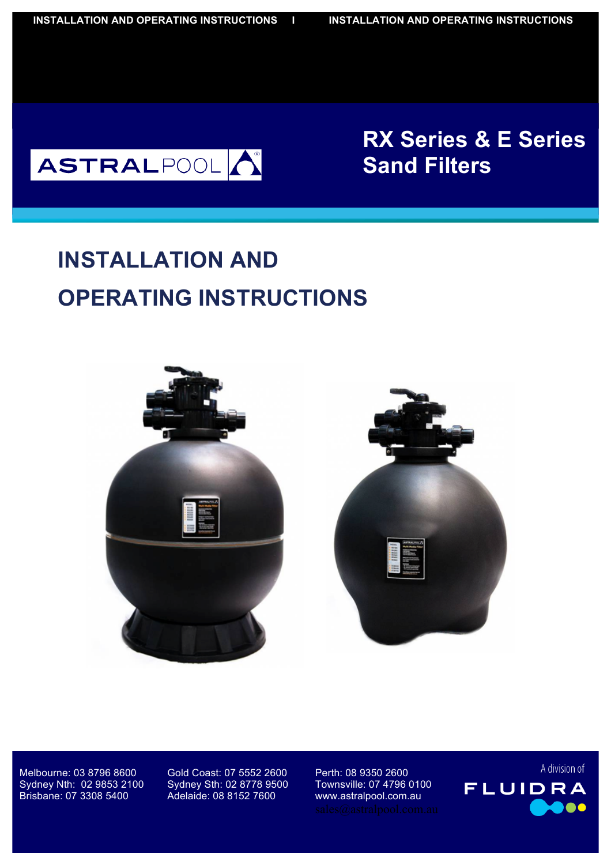

**Sand Filters RX Series & E Series**

# **INSTALLATION AND OPERATING INSTRUCTIONS**



Melbourne: 03 8796 8600 Gold Coast: 07 5552 2600 Perth: 08 9350 2600<br>Sydney Nth: 02 9853 2100 Sydney Sth: 02 8778 9500 Townsville: 07 4796 Sydney Nth: 02 9853 2100 Sydney Sth: 02 8778 9500 Townsville: 07 4796 0100

Brisbane: 07 3308 5400 Adelaide: 08 8152 7600 www.astralpool.com.au

A division of **FLUIDRA**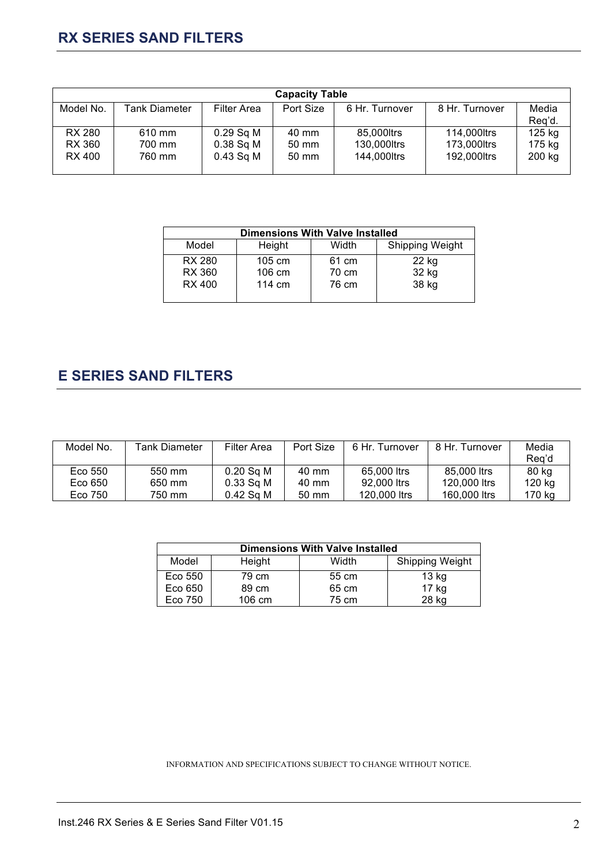# **RX SERIES SAND FILTERS**

| <b>Capacity Table</b> |               |                    |           |                |                |        |
|-----------------------|---------------|--------------------|-----------|----------------|----------------|--------|
| Model No.             | Tank Diameter | <b>Filter Area</b> | Port Size | 6 Hr. Turnover | 8 Hr. Turnover | Media  |
|                       |               |                    |           |                |                | Reg'd. |
| RX 280                | 610 mm        | $0.29$ Sq M        | 40 mm     | 85,000ltrs     | 114,000ltrs    | 125 kg |
| RX 360                | 700 mm        | $0.38$ Sq M        | 50 mm     | 130,000ltrs    | 173,000ltrs    | 175 kg |
| RX 400                | 760 mm        | $0.43$ Sq M        | 50 mm     | 144,000ltrs    | 192,000ltrs    | 200 kg |
|                       |               |                    |           |                |                |        |

| <b>Dimensions With Valve Installed</b> |                  |       |                 |  |
|----------------------------------------|------------------|-------|-----------------|--|
| Model                                  | Height           | Width | Shipping Weight |  |
| RX 280                                 | $105 \text{ cm}$ | 61 cm | 22 kg           |  |
| <b>RX 360</b>                          | 106 cm           | 70 cm | 32 kg           |  |
| RX 400                                 | 114 cm           | 76 cm | 38 kg           |  |

# **E SERIES SAND FILTERS**

| Model No. | Tank Diameter | <b>Filter Area</b> | Port Size | 6 Hr. Turnover | 8 Hr. Turnover | Media<br>Rea'd |
|-----------|---------------|--------------------|-----------|----------------|----------------|----------------|
| Eco 550   | 550 mm        | $0.20$ Sa M        | 40 mm     | 65,000 ltrs    | 85,000 ltrs    | 80 kg          |
| Eco 650   | 650 mm        | $0.33$ Sq M        | 40 mm     | 92,000 ltrs    | 120,000 ltrs   | 120 kg         |
| Eco 750   | 750 mm        | $0.42$ Sa M        | 50 mm     | 120,000 ltrs   | 160,000 ltrs   | 170 kg         |

| <b>Dimensions With Valve Installed</b> |                  |       |                        |
|----------------------------------------|------------------|-------|------------------------|
| Model                                  | Height           | Width | <b>Shipping Weight</b> |
| Eco 550                                | 79 cm            | 55 cm | $13$ kg                |
| Eco 650                                | 89 cm            | 65 cm | $17$ kg                |
| Eco 750                                | $106 \text{ cm}$ | 75 cm | 28 kg                  |

INFORMATION AND SPECIFICATIONS SUBJECT TO CHANGE WITHOUT NOTICE.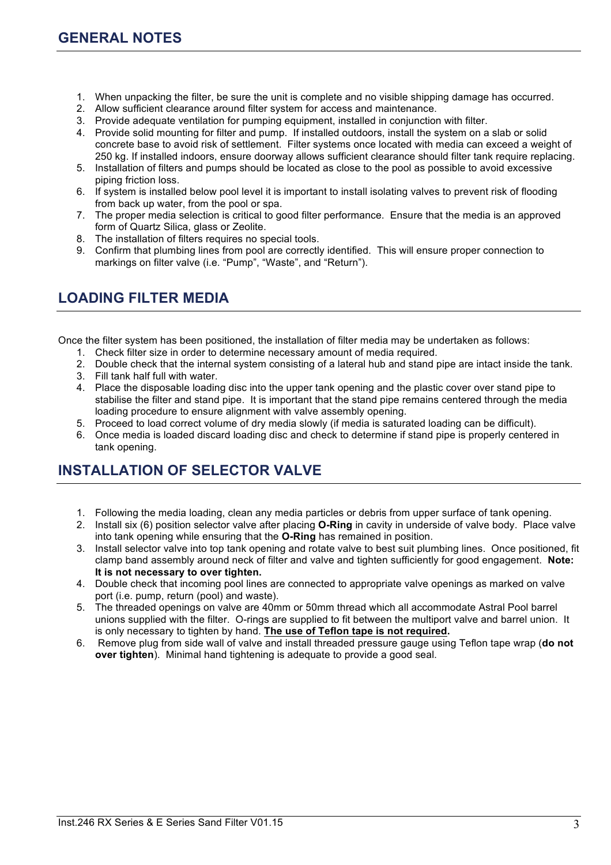- 1. When unpacking the filter, be sure the unit is complete and no visible shipping damage has occurred.
- 2. Allow sufficient clearance around filter system for access and maintenance.
- 3. Provide adequate ventilation for pumping equipment, installed in conjunction with filter.
- 4. Provide solid mounting for filter and pump. If installed outdoors, install the system on a slab or solid concrete base to avoid risk of settlement. Filter systems once located with media can exceed a weight of 250 kg. If installed indoors, ensure doorway allows sufficient clearance should filter tank require replacing.
- 5. Installation of filters and pumps should be located as close to the pool as possible to avoid excessive piping friction loss.
- 6. If system is installed below pool level it is important to install isolating valves to prevent risk of flooding from back up water, from the pool or spa.
- 7. The proper media selection is critical to good filter performance. Ensure that the media is an approved form of Quartz Silica, glass or Zeolite.
- 8. The installation of filters requires no special tools.
- 9. Confirm that plumbing lines from pool are correctly identified. This will ensure proper connection to markings on filter valve (i.e. "Pump", "Waste", and "Return").

## **LOADING FILTER MEDIA**

Once the filter system has been positioned, the installation of filter media may be undertaken as follows:

- 1. Check filter size in order to determine necessary amount of media required.
- 2. Double check that the internal system consisting of a lateral hub and stand pipe are intact inside the tank.
- 3. Fill tank half full with water.
- 4. Place the disposable loading disc into the upper tank opening and the plastic cover over stand pipe to stabilise the filter and stand pipe. It is important that the stand pipe remains centered through the media loading procedure to ensure alignment with valve assembly opening.
- 5. Proceed to load correct volume of dry media slowly (if media is saturated loading can be difficult).
- 6. Once media is loaded discard loading disc and check to determine if stand pipe is properly centered in tank opening.

## **INSTALLATION OF SELECTOR VALVE**

- 1. Following the media loading, clean any media particles or debris from upper surface of tank opening.
- 2. Install six (6) position selector valve after placing **O-Ring** in cavity in underside of valve body. Place valve into tank opening while ensuring that the **O-Ring** has remained in position.
- 3. Install selector valve into top tank opening and rotate valve to best suit plumbing lines. Once positioned, fit clamp band assembly around neck of filter and valve and tighten sufficiently for good engagement. **Note: It is not necessary to over tighten.**
- 4. Double check that incoming pool lines are connected to appropriate valve openings as marked on valve port (i.e. pump, return (pool) and waste).
- 5. The threaded openings on valve are 40mm or 50mm thread which all accommodate Astral Pool barrel unions supplied with the filter. O-rings are supplied to fit between the multiport valve and barrel union. It is only necessary to tighten by hand. **The use of Teflon tape is not required.**
- 6. Remove plug from side wall of valve and install threaded pressure gauge using Teflon tape wrap (**do not over tighten**). Minimal hand tightening is adequate to provide a good seal.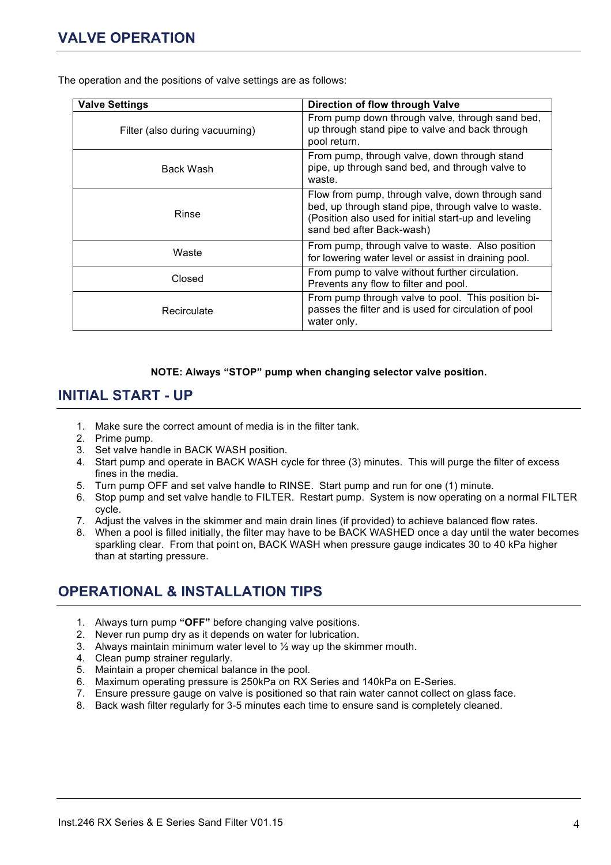## **VALVE OPERATION**

| <b>Valve Settings</b>          | Direction of flow through Valve                                                                                                                                                               |  |
|--------------------------------|-----------------------------------------------------------------------------------------------------------------------------------------------------------------------------------------------|--|
| Filter (also during vacuuming) | From pump down through valve, through sand bed,<br>up through stand pipe to valve and back through<br>pool return.                                                                            |  |
| Back Wash                      | From pump, through valve, down through stand<br>pipe, up through sand bed, and through valve to<br>waste.                                                                                     |  |
| Rinse                          | Flow from pump, through valve, down through sand<br>bed, up through stand pipe, through valve to waste.<br>(Position also used for initial start-up and leveling<br>sand bed after Back-wash) |  |
| Waste                          | From pump, through valve to waste. Also position<br>for lowering water level or assist in draining pool.                                                                                      |  |
| Closed                         | From pump to valve without further circulation.<br>Prevents any flow to filter and pool.                                                                                                      |  |
| Recirculate                    | From pump through valve to pool. This position bi-<br>passes the filter and is used for circulation of pool<br>water only.                                                                    |  |

The operation and the positions of valve settings are as follows:

## **NOTE: Always "STOP" pump when changing selector valve position.**

## **INITIAL START - UP**

- 1. Make sure the correct amount of media is in the filter tank.
- 2. Prime pump.
- 3. Set valve handle in BACK WASH position.
- 4. Start pump and operate in BACK WASH cycle for three (3) minutes. This will purge the filter of excess fines in the media.
- 5. Turn pump OFF and set valve handle to RINSE. Start pump and run for one (1) minute.
- 6. Stop pump and set valve handle to FILTER. Restart pump. System is now operating on a normal FILTER cycle.
- 7. Adjust the valves in the skimmer and main drain lines (if provided) to achieve balanced flow rates.
- 8. When a pool is filled initially, the filter may have to be BACK WASHED once a day until the water becomes sparkling clear. From that point on, BACK WASH when pressure gauge indicates 30 to 40 kPa higher than at starting pressure.

## **OPERATIONAL & INSTALLATION TIPS**

- 1. Always turn pump **"OFF"** before changing valve positions.
- 2. Never run pump dry as it depends on water for lubrication.
- 3. Always maintain minimum water level to  $\frac{1}{2}$  way up the skimmer mouth.
- 4. Clean pump strainer regularly.
- 5. Maintain a proper chemical balance in the pool.
- 6. Maximum operating pressure is 250kPa on RX Series and 140kPa on E-Series.
- 7. Ensure pressure gauge on valve is positioned so that rain water cannot collect on glass face.
- 8. Back wash filter regularly for 3-5 minutes each time to ensure sand is completely cleaned.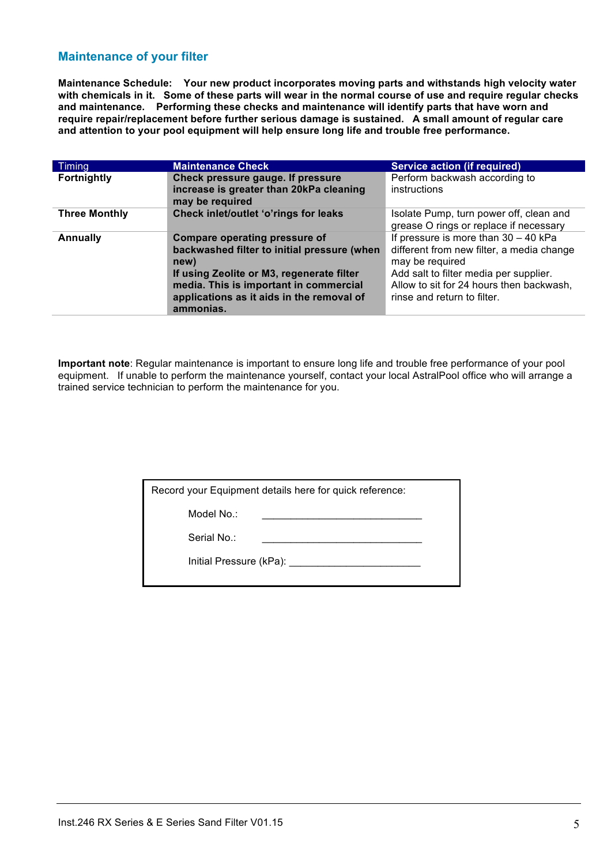## **Maintenance of your filter**

**Maintenance Schedule: Your new product incorporates moving parts and withstands high velocity water with chemicals in it. Some of these parts will wear in the normal course of use and require regular checks and maintenance. Performing these checks and maintenance will identify parts that have worn and require repair/replacement before further serious damage is sustained. A small amount of regular care and attention to your pool equipment will help ensure long life and trouble free performance.**

| Timing               | <b>Maintenance Check</b>                                   | Service action (if required)              |
|----------------------|------------------------------------------------------------|-------------------------------------------|
| Fortnightly          | Check pressure gauge. If pressure                          | Perform backwash according to             |
|                      | increase is greater than 20kPa cleaning<br>may be required | instructions                              |
| <b>Three Monthly</b> | Check inlet/outlet 'o'rings for leaks                      | Isolate Pump, turn power off, clean and   |
|                      |                                                            | grease O rings or replace if necessary    |
| <b>Annually</b>      | <b>Compare operating pressure of</b>                       | If pressure is more than $30 - 40$ kPa    |
|                      | backwashed filter to initial pressure (when                | different from new filter, a media change |
|                      | new)                                                       | may be required                           |
|                      | If using Zeolite or M3, regenerate filter                  | Add salt to filter media per supplier.    |
|                      | media. This is important in commercial                     | Allow to sit for 24 hours then backwash,  |
|                      | applications as it aids in the removal of                  | rinse and return to filter.               |
|                      | ammonias.                                                  |                                           |

**Important note**: Regular maintenance is important to ensure long life and trouble free performance of your pool equipment. If unable to perform the maintenance yourself, contact your local AstralPool office who will arrange a trained service technician to perform the maintenance for you.

| Record your Equipment details here for quick reference: |  |
|---------------------------------------------------------|--|
|                                                         |  |

Model No.:

Serial No.:

Initial Pressure (kPa):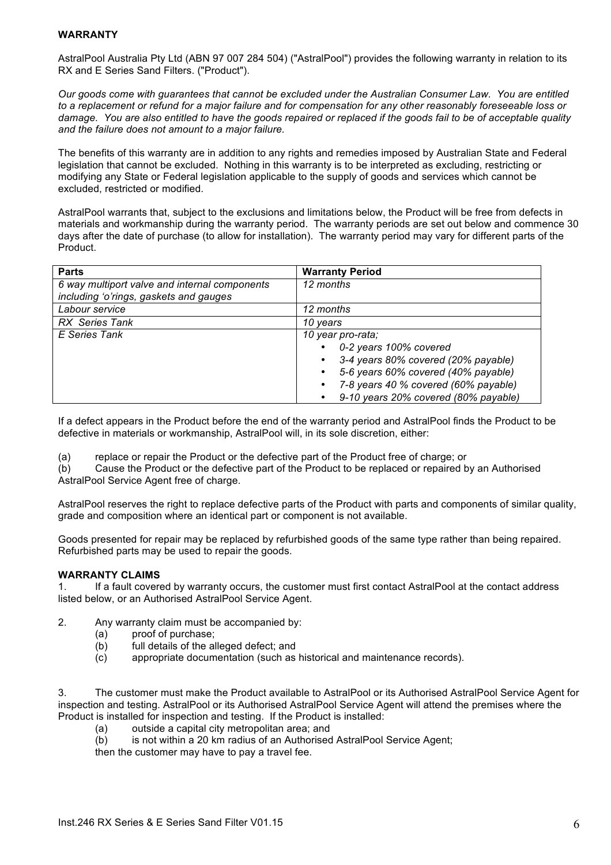#### **WARRANTY**

AstralPool Australia Pty Ltd (ABN 97 007 284 504) ("AstralPool") provides the following warranty in relation to its RX and E Series Sand Filters. ("Product").

*Our goods come with guarantees that cannot be excluded under the Australian Consumer Law. You are entitled to a replacement or refund for a major failure and for compensation for any other reasonably foreseeable loss or damage. You are also entitled to have the goods repaired or replaced if the goods fail to be of acceptable quality and the failure does not amount to a major failure.*

The benefits of this warranty are in addition to any rights and remedies imposed by Australian State and Federal legislation that cannot be excluded. Nothing in this warranty is to be interpreted as excluding, restricting or modifying any State or Federal legislation applicable to the supply of goods and services which cannot be excluded, restricted or modified.

AstralPool warrants that, subject to the exclusions and limitations below, the Product will be free from defects in materials and workmanship during the warranty period. The warranty periods are set out below and commence 30 days after the date of purchase (to allow for installation). The warranty period may vary for different parts of the Product.

| <b>Parts</b>                                  | <b>Warranty Period</b>                    |  |
|-----------------------------------------------|-------------------------------------------|--|
| 6 way multiport valve and internal components | 12 months                                 |  |
| including 'o'rings, gaskets and gauges        |                                           |  |
| Labour service                                | 12 months                                 |  |
| RX Series Tank                                | 10 years                                  |  |
| E Series Tank                                 | 10 year pro-rata;                         |  |
|                                               | 0-2 years 100% covered<br>٠               |  |
|                                               | 3-4 years 80% covered (20% payable)<br>٠  |  |
|                                               | 5-6 years 60% covered (40% payable)<br>٠  |  |
|                                               | 7-8 years 40 % covered (60% payable)<br>٠ |  |
|                                               | 9-10 years 20% covered (80% payable)      |  |

If a defect appears in the Product before the end of the warranty period and AstralPool finds the Product to be defective in materials or workmanship, AstralPool will, in its sole discretion, either:

(a) replace or repair the Product or the defective part of the Product free of charge; or

(b) Cause the Product or the defective part of the Product to be replaced or repaired by an Authorised AstralPool Service Agent free of charge.

AstralPool reserves the right to replace defective parts of the Product with parts and components of similar quality, grade and composition where an identical part or component is not available.

Goods presented for repair may be replaced by refurbished goods of the same type rather than being repaired. Refurbished parts may be used to repair the goods.

#### **WARRANTY CLAIMS**

1. If a fault covered by warranty occurs, the customer must first contact AstralPool at the contact address listed below, or an Authorised AstralPool Service Agent.

- 2. Any warranty claim must be accompanied by:
	- (a) proof of purchase;
	- (b) full details of the alleged defect; and
	- (c) appropriate documentation (such as historical and maintenance records).

3. The customer must make the Product available to AstralPool or its Authorised AstralPool Service Agent for inspection and testing. AstralPool or its Authorised AstralPool Service Agent will attend the premises where the Product is installed for inspection and testing. If the Product is installed:

- (a) outside a capital city metropolitan area; and
- (b) is not within a 20 km radius of an Authorised AstralPool Service Agent;
- then the customer may have to pay a travel fee.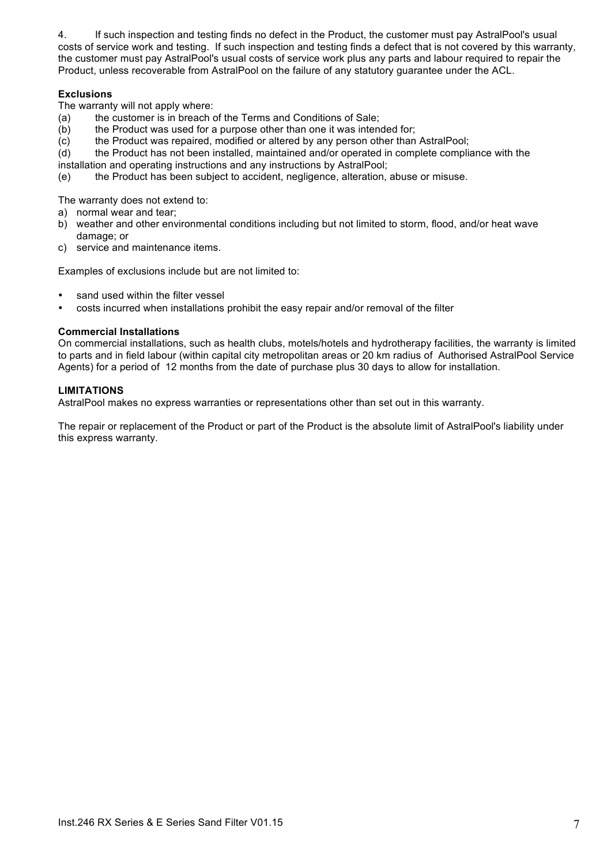4. If such inspection and testing finds no defect in the Product, the customer must pay AstralPool's usual costs of service work and testing. If such inspection and testing finds a defect that is not covered by this warranty, the customer must pay AstralPool's usual costs of service work plus any parts and labour required to repair the Product, unless recoverable from AstralPool on the failure of any statutory guarantee under the ACL.

## **Exclusions**

The warranty will not apply where:

- (a) the customer is in breach of the Terms and Conditions of Sale;
- (b) the Product was used for a purpose other than one it was intended for;
- (c) the Product was repaired, modified or altered by any person other than AstralPool;
- (d) the Product has not been installed, maintained and/or operated in complete compliance with the
- installation and operating instructions and any instructions by AstralPool;
- (e) the Product has been subject to accident, negligence, alteration, abuse or misuse.

The warranty does not extend to:

- a) normal wear and tear;
- b) weather and other environmental conditions including but not limited to storm, flood, and/or heat wave damage; or
- c) service and maintenance items.

Examples of exclusions include but are not limited to:

- sand used within the filter vessel
- costs incurred when installations prohibit the easy repair and/or removal of the filter

#### **Commercial Installations**

On commercial installations, such as health clubs, motels/hotels and hydrotherapy facilities, the warranty is limited to parts and in field labour (within capital city metropolitan areas or 20 km radius of Authorised AstralPool Service Agents) for a period of 12 months from the date of purchase plus 30 days to allow for installation.

## **LIMITATIONS**

AstralPool makes no express warranties or representations other than set out in this warranty.

The repair or replacement of the Product or part of the Product is the absolute limit of AstralPool's liability under this express warranty.